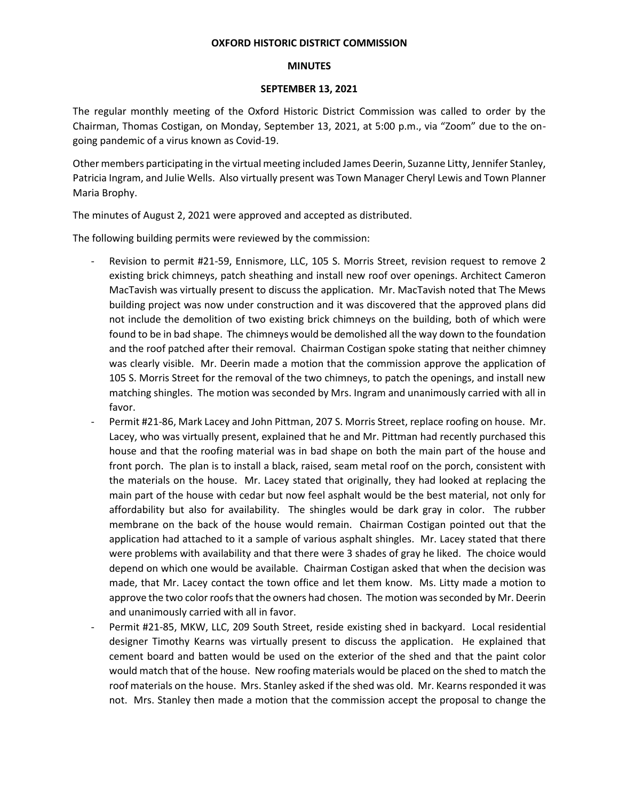## **OXFORD HISTORIC DISTRICT COMMISSION**

## **MINUTES**

## **SEPTEMBER 13, 2021**

The regular monthly meeting of the Oxford Historic District Commission was called to order by the Chairman, Thomas Costigan, on Monday, September 13, 2021, at 5:00 p.m., via "Zoom" due to the ongoing pandemic of a virus known as Covid-19.

Other members participating in the virtual meeting included James Deerin, Suzanne Litty, Jennifer Stanley, Patricia Ingram, and Julie Wells. Also virtually present was Town Manager Cheryl Lewis and Town Planner Maria Brophy.

The minutes of August 2, 2021 were approved and accepted as distributed.

The following building permits were reviewed by the commission:

- Revision to permit #21-59, Ennismore, LLC, 105 S. Morris Street, revision request to remove 2 existing brick chimneys, patch sheathing and install new roof over openings. Architect Cameron MacTavish was virtually present to discuss the application. Mr. MacTavish noted that The Mews building project was now under construction and it was discovered that the approved plans did not include the demolition of two existing brick chimneys on the building, both of which were found to be in bad shape. The chimneys would be demolished all the way down to the foundation and the roof patched after their removal. Chairman Costigan spoke stating that neither chimney was clearly visible. Mr. Deerin made a motion that the commission approve the application of 105 S. Morris Street for the removal of the two chimneys, to patch the openings, and install new matching shingles. The motion was seconded by Mrs. Ingram and unanimously carried with all in favor.
- Permit #21-86, Mark Lacey and John Pittman, 207 S. Morris Street, replace roofing on house. Mr. Lacey, who was virtually present, explained that he and Mr. Pittman had recently purchased this house and that the roofing material was in bad shape on both the main part of the house and front porch. The plan is to install a black, raised, seam metal roof on the porch, consistent with the materials on the house. Mr. Lacey stated that originally, they had looked at replacing the main part of the house with cedar but now feel asphalt would be the best material, not only for affordability but also for availability. The shingles would be dark gray in color. The rubber membrane on the back of the house would remain. Chairman Costigan pointed out that the application had attached to it a sample of various asphalt shingles. Mr. Lacey stated that there were problems with availability and that there were 3 shades of gray he liked. The choice would depend on which one would be available. Chairman Costigan asked that when the decision was made, that Mr. Lacey contact the town office and let them know. Ms. Litty made a motion to approve the two color roofs that the owners had chosen. The motion was seconded by Mr. Deerin and unanimously carried with all in favor.
- Permit #21-85, MKW, LLC, 209 South Street, reside existing shed in backyard. Local residential designer Timothy Kearns was virtually present to discuss the application. He explained that cement board and batten would be used on the exterior of the shed and that the paint color would match that of the house. New roofing materials would be placed on the shed to match the roof materials on the house. Mrs. Stanley asked if the shed was old. Mr. Kearns responded it was not. Mrs. Stanley then made a motion that the commission accept the proposal to change the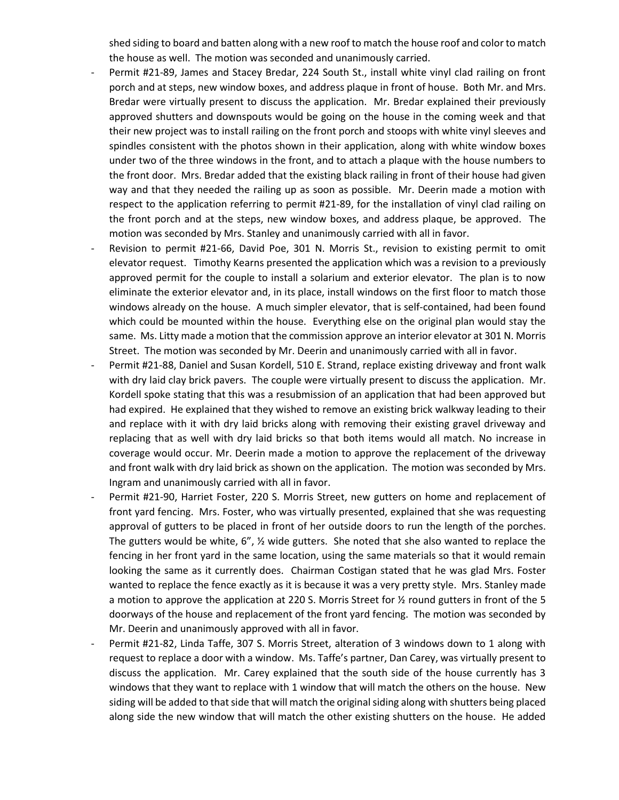shed siding to board and batten along with a new roof to match the house roof and color to match the house as well. The motion was seconded and unanimously carried.

- Permit #21-89, James and Stacey Bredar, 224 South St., install white vinyl clad railing on front porch and at steps, new window boxes, and address plaque in front of house. Both Mr. and Mrs. Bredar were virtually present to discuss the application. Mr. Bredar explained their previously approved shutters and downspouts would be going on the house in the coming week and that their new project was to install railing on the front porch and stoops with white vinyl sleeves and spindles consistent with the photos shown in their application, along with white window boxes under two of the three windows in the front, and to attach a plaque with the house numbers to the front door. Mrs. Bredar added that the existing black railing in front of their house had given way and that they needed the railing up as soon as possible. Mr. Deerin made a motion with respect to the application referring to permit #21-89, for the installation of vinyl clad railing on the front porch and at the steps, new window boxes, and address plaque, be approved. The motion was seconded by Mrs. Stanley and unanimously carried with all in favor.
- Revision to permit #21-66, David Poe, 301 N. Morris St., revision to existing permit to omit elevator request. Timothy Kearns presented the application which was a revision to a previously approved permit for the couple to install a solarium and exterior elevator. The plan is to now eliminate the exterior elevator and, in its place, install windows on the first floor to match those windows already on the house. A much simpler elevator, that is self-contained, had been found which could be mounted within the house. Everything else on the original plan would stay the same. Ms. Litty made a motion that the commission approve an interior elevator at 301 N. Morris Street. The motion was seconded by Mr. Deerin and unanimously carried with all in favor.
- Permit #21-88, Daniel and Susan Kordell, 510 E. Strand, replace existing driveway and front walk with dry laid clay brick pavers. The couple were virtually present to discuss the application. Mr. Kordell spoke stating that this was a resubmission of an application that had been approved but had expired. He explained that they wished to remove an existing brick walkway leading to their and replace with it with dry laid bricks along with removing their existing gravel driveway and replacing that as well with dry laid bricks so that both items would all match. No increase in coverage would occur. Mr. Deerin made a motion to approve the replacement of the driveway and front walk with dry laid brick as shown on the application. The motion was seconded by Mrs. Ingram and unanimously carried with all in favor.
- Permit #21-90, Harriet Foster, 220 S. Morris Street, new gutters on home and replacement of front yard fencing. Mrs. Foster, who was virtually presented, explained that she was requesting approval of gutters to be placed in front of her outside doors to run the length of the porches. The gutters would be white, 6", ½ wide gutters. She noted that she also wanted to replace the fencing in her front yard in the same location, using the same materials so that it would remain looking the same as it currently does. Chairman Costigan stated that he was glad Mrs. Foster wanted to replace the fence exactly as it is because it was a very pretty style. Mrs. Stanley made a motion to approve the application at 220 S. Morris Street for  $\frac{1}{2}$  round gutters in front of the 5 doorways of the house and replacement of the front yard fencing. The motion was seconded by Mr. Deerin and unanimously approved with all in favor.
- Permit #21-82, Linda Taffe, 307 S. Morris Street, alteration of 3 windows down to 1 along with request to replace a door with a window. Ms. Taffe's partner, Dan Carey, was virtually present to discuss the application. Mr. Carey explained that the south side of the house currently has 3 windows that they want to replace with 1 window that will match the others on the house. New siding will be added to that side that will match the original siding along with shutters being placed along side the new window that will match the other existing shutters on the house. He added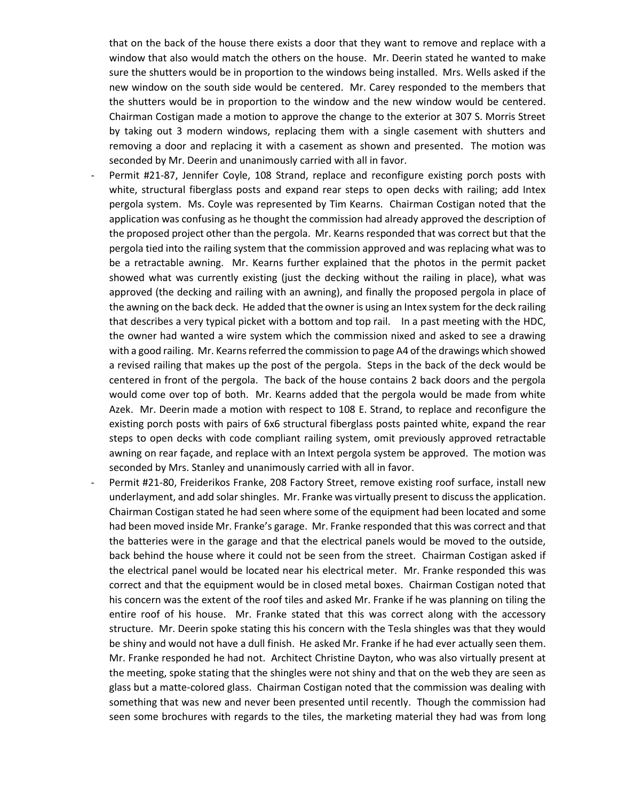that on the back of the house there exists a door that they want to remove and replace with a window that also would match the others on the house. Mr. Deerin stated he wanted to make sure the shutters would be in proportion to the windows being installed. Mrs. Wells asked if the new window on the south side would be centered. Mr. Carey responded to the members that the shutters would be in proportion to the window and the new window would be centered. Chairman Costigan made a motion to approve the change to the exterior at 307 S. Morris Street by taking out 3 modern windows, replacing them with a single casement with shutters and removing a door and replacing it with a casement as shown and presented. The motion was seconded by Mr. Deerin and unanimously carried with all in favor.

- Permit #21-87, Jennifer Coyle, 108 Strand, replace and reconfigure existing porch posts with white, structural fiberglass posts and expand rear steps to open decks with railing; add Intex pergola system. Ms. Coyle was represented by Tim Kearns. Chairman Costigan noted that the application was confusing as he thought the commission had already approved the description of the proposed project other than the pergola. Mr. Kearns responded that was correct but that the pergola tied into the railing system that the commission approved and was replacing what was to be a retractable awning. Mr. Kearns further explained that the photos in the permit packet showed what was currently existing (just the decking without the railing in place), what was approved (the decking and railing with an awning), and finally the proposed pergola in place of the awning on the back deck. He added that the owner is using an Intex system for the deck railing that describes a very typical picket with a bottom and top rail. In a past meeting with the HDC, the owner had wanted a wire system which the commission nixed and asked to see a drawing with a good railing. Mr. Kearns referred the commission to page A4 of the drawings which showed a revised railing that makes up the post of the pergola. Steps in the back of the deck would be centered in front of the pergola. The back of the house contains 2 back doors and the pergola would come over top of both. Mr. Kearns added that the pergola would be made from white Azek. Mr. Deerin made a motion with respect to 108 E. Strand, to replace and reconfigure the existing porch posts with pairs of 6x6 structural fiberglass posts painted white, expand the rear steps to open decks with code compliant railing system, omit previously approved retractable awning on rear façade, and replace with an Intext pergola system be approved. The motion was seconded by Mrs. Stanley and unanimously carried with all in favor.
- Permit #21-80, Freiderikos Franke, 208 Factory Street, remove existing roof surface, install new underlayment, and add solar shingles. Mr. Franke was virtually present to discuss the application. Chairman Costigan stated he had seen where some of the equipment had been located and some had been moved inside Mr. Franke's garage. Mr. Franke responded that this was correct and that the batteries were in the garage and that the electrical panels would be moved to the outside, back behind the house where it could not be seen from the street. Chairman Costigan asked if the electrical panel would be located near his electrical meter. Mr. Franke responded this was correct and that the equipment would be in closed metal boxes. Chairman Costigan noted that his concern was the extent of the roof tiles and asked Mr. Franke if he was planning on tiling the entire roof of his house. Mr. Franke stated that this was correct along with the accessory structure. Mr. Deerin spoke stating this his concern with the Tesla shingles was that they would be shiny and would not have a dull finish. He asked Mr. Franke if he had ever actually seen them. Mr. Franke responded he had not. Architect Christine Dayton, who was also virtually present at the meeting, spoke stating that the shingles were not shiny and that on the web they are seen as glass but a matte-colored glass. Chairman Costigan noted that the commission was dealing with something that was new and never been presented until recently. Though the commission had seen some brochures with regards to the tiles, the marketing material they had was from long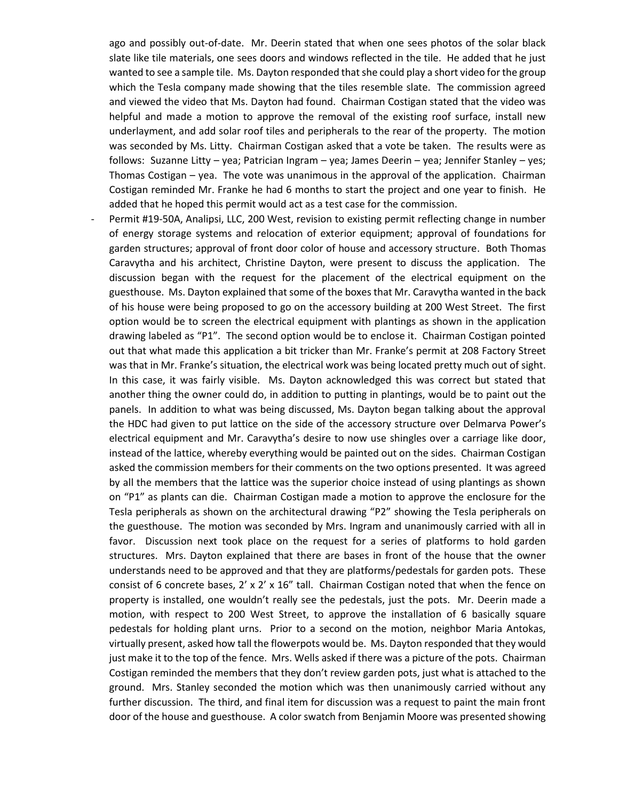ago and possibly out-of-date. Mr. Deerin stated that when one sees photos of the solar black slate like tile materials, one sees doors and windows reflected in the tile. He added that he just wanted to see a sample tile. Ms. Dayton responded that she could play a short video for the group which the Tesla company made showing that the tiles resemble slate. The commission agreed and viewed the video that Ms. Dayton had found. Chairman Costigan stated that the video was helpful and made a motion to approve the removal of the existing roof surface, install new underlayment, and add solar roof tiles and peripherals to the rear of the property. The motion was seconded by Ms. Litty. Chairman Costigan asked that a vote be taken. The results were as follows: Suzanne Litty – yea; Patrician Ingram – yea; James Deerin – yea; Jennifer Stanley – yes; Thomas Costigan – yea. The vote was unanimous in the approval of the application. Chairman Costigan reminded Mr. Franke he had 6 months to start the project and one year to finish. He added that he hoped this permit would act as a test case for the commission.

Permit #19-50A, Analipsi, LLC, 200 West, revision to existing permit reflecting change in number of energy storage systems and relocation of exterior equipment; approval of foundations for garden structures; approval of front door color of house and accessory structure. Both Thomas Caravytha and his architect, Christine Dayton, were present to discuss the application. The discussion began with the request for the placement of the electrical equipment on the guesthouse. Ms. Dayton explained that some of the boxes that Mr. Caravytha wanted in the back of his house were being proposed to go on the accessory building at 200 West Street. The first option would be to screen the electrical equipment with plantings as shown in the application drawing labeled as "P1". The second option would be to enclose it. Chairman Costigan pointed out that what made this application a bit tricker than Mr. Franke's permit at 208 Factory Street was that in Mr. Franke's situation, the electrical work was being located pretty much out of sight. In this case, it was fairly visible. Ms. Dayton acknowledged this was correct but stated that another thing the owner could do, in addition to putting in plantings, would be to paint out the panels. In addition to what was being discussed, Ms. Dayton began talking about the approval the HDC had given to put lattice on the side of the accessory structure over Delmarva Power's electrical equipment and Mr. Caravytha's desire to now use shingles over a carriage like door, instead of the lattice, whereby everything would be painted out on the sides. Chairman Costigan asked the commission members for their comments on the two options presented. It was agreed by all the members that the lattice was the superior choice instead of using plantings as shown on "P1" as plants can die. Chairman Costigan made a motion to approve the enclosure for the Tesla peripherals as shown on the architectural drawing "P2" showing the Tesla peripherals on the guesthouse. The motion was seconded by Mrs. Ingram and unanimously carried with all in favor. Discussion next took place on the request for a series of platforms to hold garden structures. Mrs. Dayton explained that there are bases in front of the house that the owner understands need to be approved and that they are platforms/pedestals for garden pots. These consist of 6 concrete bases,  $2' \times 2' \times 16''$  tall. Chairman Costigan noted that when the fence on property is installed, one wouldn't really see the pedestals, just the pots. Mr. Deerin made a motion, with respect to 200 West Street, to approve the installation of 6 basically square pedestals for holding plant urns. Prior to a second on the motion, neighbor Maria Antokas, virtually present, asked how tall the flowerpots would be. Ms. Dayton responded that they would just make it to the top of the fence. Mrs. Wells asked if there was a picture of the pots. Chairman Costigan reminded the members that they don't review garden pots, just what is attached to the ground. Mrs. Stanley seconded the motion which was then unanimously carried without any further discussion. The third, and final item for discussion was a request to paint the main front door of the house and guesthouse. A color swatch from Benjamin Moore was presented showing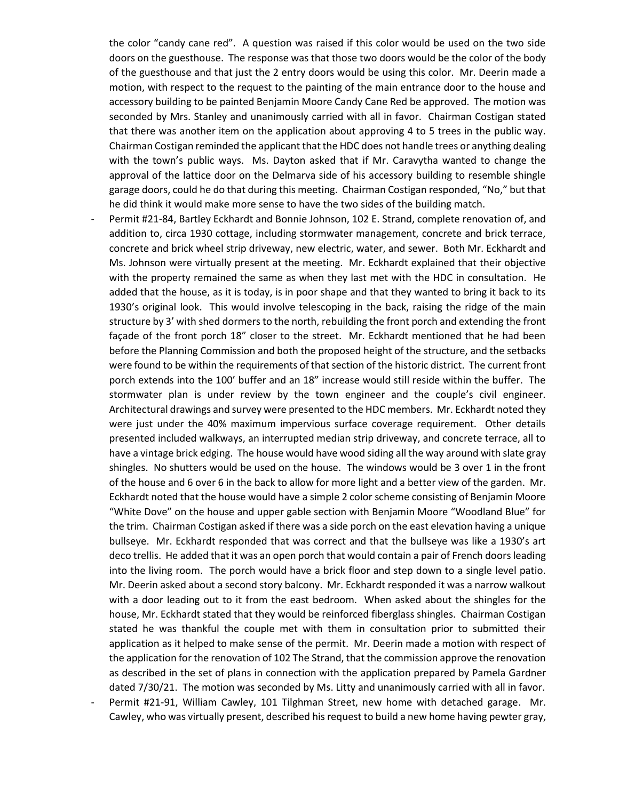the color "candy cane red". A question was raised if this color would be used on the two side doors on the guesthouse. The response was that those two doors would be the color of the body of the guesthouse and that just the 2 entry doors would be using this color. Mr. Deerin made a motion, with respect to the request to the painting of the main entrance door to the house and accessory building to be painted Benjamin Moore Candy Cane Red be approved. The motion was seconded by Mrs. Stanley and unanimously carried with all in favor. Chairman Costigan stated that there was another item on the application about approving 4 to 5 trees in the public way. Chairman Costigan reminded the applicant that the HDC does not handle trees or anything dealing with the town's public ways. Ms. Dayton asked that if Mr. Caravytha wanted to change the approval of the lattice door on the Delmarva side of his accessory building to resemble shingle garage doors, could he do that during this meeting. Chairman Costigan responded, "No," but that he did think it would make more sense to have the two sides of the building match.

- Permit #21-84, Bartley Eckhardt and Bonnie Johnson, 102 E. Strand, complete renovation of, and addition to, circa 1930 cottage, including stormwater management, concrete and brick terrace, concrete and brick wheel strip driveway, new electric, water, and sewer. Both Mr. Eckhardt and Ms. Johnson were virtually present at the meeting. Mr. Eckhardt explained that their objective with the property remained the same as when they last met with the HDC in consultation. He added that the house, as it is today, is in poor shape and that they wanted to bring it back to its 1930's original look. This would involve telescoping in the back, raising the ridge of the main structure by 3' with shed dormers to the north, rebuilding the front porch and extending the front façade of the front porch 18" closer to the street. Mr. Eckhardt mentioned that he had been before the Planning Commission and both the proposed height of the structure, and the setbacks were found to be within the requirements of that section of the historic district. The current front porch extends into the 100' buffer and an 18" increase would still reside within the buffer. The stormwater plan is under review by the town engineer and the couple's civil engineer. Architectural drawings and survey were presented to the HDC members. Mr. Eckhardt noted they were just under the 40% maximum impervious surface coverage requirement. Other details presented included walkways, an interrupted median strip driveway, and concrete terrace, all to have a vintage brick edging. The house would have wood siding all the way around with slate gray shingles. No shutters would be used on the house. The windows would be 3 over 1 in the front of the house and 6 over 6 in the back to allow for more light and a better view of the garden. Mr. Eckhardt noted that the house would have a simple 2 color scheme consisting of Benjamin Moore "White Dove" on the house and upper gable section with Benjamin Moore "Woodland Blue" for the trim. Chairman Costigan asked if there was a side porch on the east elevation having a unique bullseye. Mr. Eckhardt responded that was correct and that the bullseye was like a 1930's art deco trellis. He added that it was an open porch that would contain a pair of French doors leading into the living room. The porch would have a brick floor and step down to a single level patio. Mr. Deerin asked about a second story balcony. Mr. Eckhardt responded it was a narrow walkout with a door leading out to it from the east bedroom. When asked about the shingles for the house, Mr. Eckhardt stated that they would be reinforced fiberglass shingles. Chairman Costigan stated he was thankful the couple met with them in consultation prior to submitted their application as it helped to make sense of the permit. Mr. Deerin made a motion with respect of the application for the renovation of 102 The Strand, that the commission approve the renovation as described in the set of plans in connection with the application prepared by Pamela Gardner dated 7/30/21. The motion was seconded by Ms. Litty and unanimously carried with all in favor.
- Permit #21-91, William Cawley, 101 Tilghman Street, new home with detached garage. Mr. Cawley, who was virtually present, described his request to build a new home having pewter gray,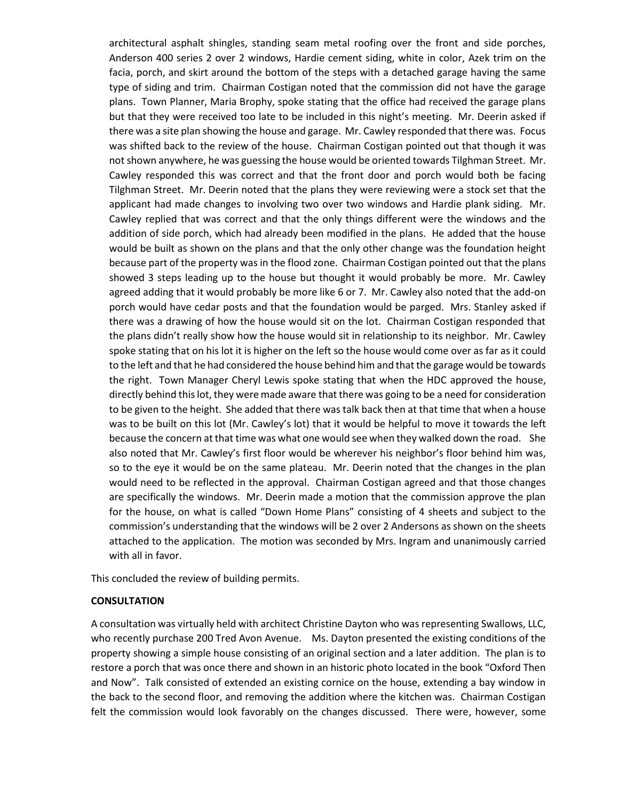architectural asphalt shingles, standing seam metal roofing over the front and side porches, Anderson 400 series 2 over 2 windows, Hardie cement siding, white in color, Azek trim on the facia, porch, and skirt around the bottom of the steps with a detached garage having the same type of siding and trim. Chairman Costigan noted that the commission did not have the garage plans. Town Planner, Maria Brophy, spoke stating that the office had received the garage plans but that they were received too late to be included in this night's meeting. Mr. Deerin asked if there was a site plan showing the house and garage. Mr. Cawley responded that there was. Focus was shifted back to the review of the house. Chairman Costigan pointed out that though it was not shown anywhere, he was guessing the house would be oriented towards Tilghman Street. Mr. Cawley responded this was correct and that the front door and porch would both be facing Tilghman Street. Mr. Deerin noted that the plans they were reviewing were a stock set that the applicant had made changes to involving two over two windows and Hardie plank siding. Mr. Cawley replied that was correct and that the only things different were the windows and the addition of side porch, which had already been modified in the plans. He added that the house would be built as shown on the plans and that the only other change was the foundation height because part of the property was in the flood zone. Chairman Costigan pointed out that the plans showed 3 steps leading up to the house but thought it would probably be more. Mr. Cawley agreed adding that it would probably be more like 6 or 7. Mr. Cawley also noted that the add-on porch would have cedar posts and that the foundation would be parged. Mrs. Stanley asked if there was a drawing of how the house would sit on the lot. Chairman Costigan responded that the plans didn't really show how the house would sit in relationship to its neighbor. Mr. Cawley spoke stating that on his lot it is higher on the left so the house would come over as far as it could to the left and that he had considered the house behind him and that the garage would be towards the right. Town Manager Cheryl Lewis spoke stating that when the HDC approved the house, directly behind this lot, they were made aware that there was going to be a need for consideration to be given to the height. She added that there was talk back then at that time that when a house was to be built on this lot (Mr. Cawley's lot) that it would be helpful to move it towards the left because the concern at that time was what one would see when they walked down the road. She also noted that Mr. Cawley's first floor would be wherever his neighbor's floor behind him was, so to the eye it would be on the same plateau. Mr. Deerin noted that the changes in the plan would need to be reflected in the approval. Chairman Costigan agreed and that those changes are specifically the windows. Mr. Deerin made a motion that the commission approve the plan for the house, on what is called "Down Home Plans" consisting of 4 sheets and subject to the commission's understanding that the windows will be 2 over 2 Andersons as shown on the sheets attached to the application. The motion was seconded by Mrs. Ingram and unanimously carried with all in favor.

This concluded the review of building permits.

## **CONSULTATION**

A consultation was virtually held with architect Christine Dayton who was representing Swallows, LLC, who recently purchase 200 Tred Avon Avenue. Ms. Dayton presented the existing conditions of the property showing a simple house consisting of an original section and a later addition. The plan is to restore a porch that was once there and shown in an historic photo located in the book "Oxford Then and Now". Talk consisted of extended an existing cornice on the house, extending a bay window in the back to the second floor, and removing the addition where the kitchen was. Chairman Costigan felt the commission would look favorably on the changes discussed. There were, however, some